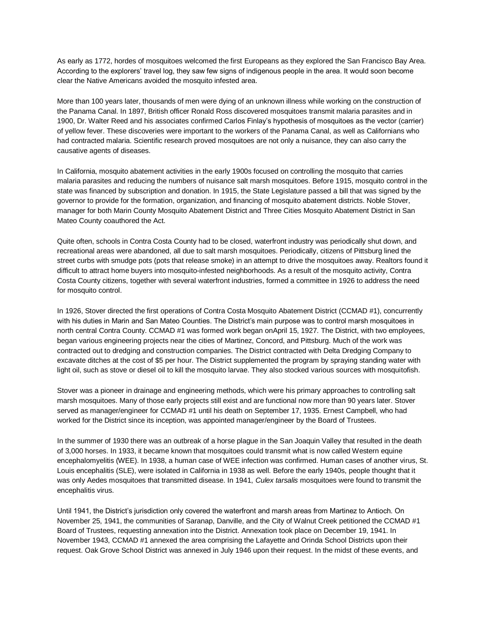As early as 1772, hordes of mosquitoes welcomed the first Europeans as they explored the San Francisco Bay Area. According to the explorers' travel log, they saw few signs of indigenous people in the area. It would soon become clear the Native Americans avoided the mosquito infested area.

More than 100 years later, thousands of men were dying of an unknown illness while working on the construction of the Panama Canal. In 1897, British officer Ronald Ross discovered mosquitoes transmit malaria parasites and in 1900, Dr. Walter Reed and his associates confirmed Carlos Finlay's hypothesis of mosquitoes as the vector (carrier) of yellow fever. These discoveries were important to the workers of the Panama Canal, as well as Californians who had contracted malaria. Scientific research proved mosquitoes are not only a nuisance, they can also carry the causative agents of diseases.

In California, mosquito abatement activities in the early 1900s focused on controlling the mosquito that carries malaria parasites and reducing the numbers of nuisance salt marsh mosquitoes. Before 1915, mosquito control in the state was financed by subscription and donation. In 1915, the State Legislature passed a bill that was signed by the governor to provide for the formation, organization, and financing of mosquito abatement districts. Noble Stover, manager for both Marin County Mosquito Abatement District and Three Cities Mosquito Abatement District in San Mateo County coauthored the Act.

Quite often, schools in Contra Costa County had to be closed, waterfront industry was periodically shut down, and recreational areas were abandoned, all due to salt marsh mosquitoes. Periodically, citizens of Pittsburg lined the street curbs with smudge pots (pots that release smoke) in an attempt to drive the mosquitoes away. Realtors found it difficult to attract home buyers into mosquito-infested neighborhoods. As a result of the mosquito activity, Contra Costa County citizens, together with several waterfront industries, formed a committee in 1926 to address the need for mosquito control.

In 1926, Stover directed the first operations of Contra Costa Mosquito Abatement District (CCMAD #1), concurrently with his duties in Marin and San Mateo Counties. The District's main purpose was to control marsh mosquitoes in north central Contra County. CCMAD #1 was formed work began onApril 15, 1927. The District, with two employees, began various engineering projects near the cities of Martinez, Concord, and Pittsburg. Much of the work was contracted out to dredging and construction companies. The District contracted with Delta Dredging Company to excavate ditches at the cost of \$5 per hour. The District supplemented the program by spraying standing water with light oil, such as stove or diesel oil to kill the mosquito larvae. They also stocked various sources with mosquitofish.

Stover was a pioneer in drainage and engineering methods, which were his primary approaches to controlling salt marsh mosquitoes. Many of those early projects still exist and are functional now more than 90 years later. Stover served as manager/engineer for CCMAD #1 until his death on September 17, 1935. Ernest Campbell, who had worked for the District since its inception, was appointed manager/engineer by the Board of Trustees.

In the summer of 1930 there was an outbreak of a horse plague in the San Joaquin Valley that resulted in the death of 3,000 horses. In 1933, it became known that mosquitoes could transmit what is now called Western equine encephalomyelitis (WEE). In 1938, a human case of WEE infection was confirmed. Human cases of another virus, St. Louis encephalitis (SLE), were isolated in California in 1938 as well. Before the early 1940s, people thought that it was only Aedes mosquitoes that transmitted disease. In 1941, *Culex tarsalis* mosquitoes were found to transmit the encephalitis virus.

Until 1941, the District's jurisdiction only covered the waterfront and marsh areas from Martinez to Antioch. On November 25, 1941, the communities of Saranap, Danville, and the City of Walnut Creek petitioned the CCMAD #1 Board of Trustees, requesting annexation into the District. Annexation took place on December 19, 1941. In November 1943, CCMAD #1 annexed the area comprising the Lafayette and Orinda School Districts upon their request. Oak Grove School District was annexed in July 1946 upon their request. In the midst of these events, and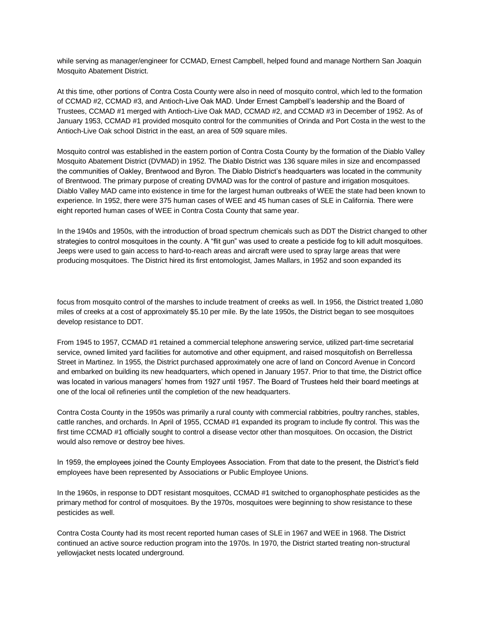while serving as manager/engineer for CCMAD, Ernest Campbell, helped found and manage Northern San Joaquin Mosquito Abatement District.

At this time, other portions of Contra Costa County were also in need of mosquito control, which led to the formation of CCMAD #2, CCMAD #3, and Antioch-Live Oak MAD. Under Ernest Campbell's leadership and the Board of Trustees, CCMAD #1 merged with Antioch-Live Oak MAD, CCMAD #2, and CCMAD #3 in December of 1952. As of January 1953, CCMAD #1 provided mosquito control for the communities of Orinda and Port Costa in the west to the Antioch-Live Oak school District in the east, an area of 509 square miles.

Mosquito control was established in the eastern portion of Contra Costa County by the formation of the Diablo Valley Mosquito Abatement District (DVMAD) in 1952. The Diablo District was 136 square miles in size and encompassed the communities of Oakley, Brentwood and Byron. The Diablo District's headquarters was located in the community of Brentwood. The primary purpose of creating DVMAD was for the control of pasture and irrigation mosquitoes. Diablo Valley MAD came into existence in time for the largest human outbreaks of WEE the state had been known to experience. In 1952, there were 375 human cases of WEE and 45 human cases of SLE in California. There were eight reported human cases of WEE in Contra Costa County that same year.

In the 1940s and 1950s, with the introduction of broad spectrum chemicals such as DDT the District changed to other strategies to control mosquitoes in the county. A "flit gun" was used to create a pesticide fog to kill adult mosquitoes. Jeeps were used to gain access to hard-to-reach areas and aircraft were used to spray large areas that were producing mosquitoes. The District hired its first entomologist, James Mallars, in 1952 and soon expanded its

focus from mosquito control of the marshes to include treatment of creeks as well. In 1956, the District treated 1,080 miles of creeks at a cost of approximately \$5.10 per mile. By the late 1950s, the District began to see mosquitoes develop resistance to DDT.

From 1945 to 1957, CCMAD #1 retained a commercial telephone answering service, utilized part-time secretarial service, owned limited yard facilities for automotive and other equipment, and raised mosquitofish on Berrellessa Street in Martinez. In 1955, the District purchased approximately one acre of land on Concord Avenue in Concord and embarked on building its new headquarters, which opened in January 1957. Prior to that time, the District office was located in various managers' homes from 1927 until 1957. The Board of Trustees held their board meetings at one of the local oil refineries until the completion of the new headquarters.

Contra Costa County in the 1950s was primarily a rural county with commercial rabbitries, poultry ranches, stables, cattle ranches, and orchards. In April of 1955, CCMAD #1 expanded its program to include fly control. This was the first time CCMAD #1 officially sought to control a disease vector other than mosquitoes. On occasion, the District would also remove or destroy bee hives.

In 1959, the employees joined the County Employees Association. From that date to the present, the District's field employees have been represented by Associations or Public Employee Unions.

In the 1960s, in response to DDT resistant mosquitoes, CCMAD #1 switched to organophosphate pesticides as the primary method for control of mosquitoes. By the 1970s, mosquitoes were beginning to show resistance to these pesticides as well.

Contra Costa County had its most recent reported human cases of SLE in 1967 and WEE in 1968. The District continued an active source reduction program into the 1970s. In 1970, the District started treating non-structural yellowjacket nests located underground.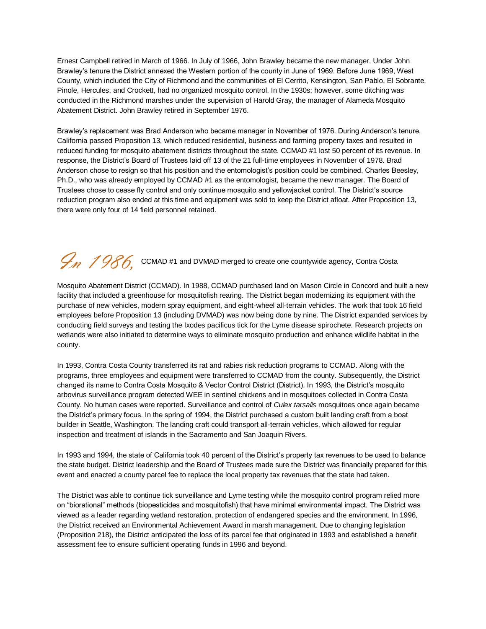Ernest Campbell retired in March of 1966. In July of 1966, John Brawley became the new manager. Under John Brawley's tenure the District annexed the Western portion of the county in June of 1969. Before June 1969, West County, which included the City of Richmond and the communities of El Cerrito, Kensington, San Pablo, El Sobrante, Pinole, Hercules, and Crockett, had no organized mosquito control. In the 1930s; however, some ditching was conducted in the Richmond marshes under the supervision of Harold Gray, the manager of Alameda Mosquito Abatement District. John Brawley retired in September 1976.

Brawley's replacement was Brad Anderson who became manager in November of 1976. During Anderson's tenure, California passed Proposition 13, which reduced residential, business and farming property taxes and resulted in reduced funding for mosquito abatement districts throughout the state. CCMAD #1 lost 50 percent of its revenue. In response, the District's Board of Trustees laid off 13 of the 21 full-time employees in November of 1978. Brad Anderson chose to resign so that his position and the entomologist's position could be combined. Charles Beesley, Ph.D., who was already employed by CCMAD #1 as the entomologist, became the new manager. The Board of Trustees chose to cease fly control and only continue mosquito and yellowjacket control. The District's source reduction program also ended at this time and equipment was sold to keep the District afloat. After Proposition 13, there were only four of 14 field personnel retained.

## $\mathcal{G}_n$  1986, CCMAD #1 and DVMAD merged to create one countywide agency, Contra Costa

Mosquito Abatement District (CCMAD). In 1988, CCMAD purchased land on Mason Circle in Concord and built a new facility that included a greenhouse for mosquitofish rearing. The District began modernizing its equipment with the purchase of new vehicles, modern spray equipment, and eight-wheel all-terrain vehicles. The work that took 16 field employees before Proposition 13 (including DVMAD) was now being done by nine. The District expanded services by conducting field surveys and testing the Ixodes pacificus tick for the Lyme disease spirochete. Research projects on wetlands were also initiated to determine ways to eliminate mosquito production and enhance wildlife habitat in the county.

In 1993, Contra Costa County transferred its rat and rabies risk reduction programs to CCMAD. Along with the programs, three employees and equipment were transferred to CCMAD from the county. Subsequently, the District changed its name to Contra Costa Mosquito & Vector Control District (District). In 1993, the District's mosquito arbovirus surveillance program detected WEE in sentinel chickens and in mosquitoes collected in Contra Costa County. No human cases were reported. Surveillance and control of *Culex tarsalis* mosquitoes once again became the District's primary focus. In the spring of 1994, the District purchased a custom built landing craft from a boat builder in Seattle, Washington. The landing craft could transport all-terrain vehicles, which allowed for regular inspection and treatment of islands in the Sacramento and San Joaquin Rivers.

In 1993 and 1994, the state of California took 40 percent of the District's property tax revenues to be used to balance the state budget. District leadership and the Board of Trustees made sure the District was financially prepared for this event and enacted a county parcel fee to replace the local property tax revenues that the state had taken.

The District was able to continue tick surveillance and Lyme testing while the mosquito control program relied more on "biorational" methods (biopesticides and mosquitofish) that have minimal environmental impact. The District was viewed as a leader regarding wetland restoration, protection of endangered species and the environment. In 1996, the District received an Environmental Achievement Award in marsh management. Due to changing legislation (Proposition 218), the District anticipated the loss of its parcel fee that originated in 1993 and established a benefit assessment fee to ensure sufficient operating funds in 1996 and beyond.